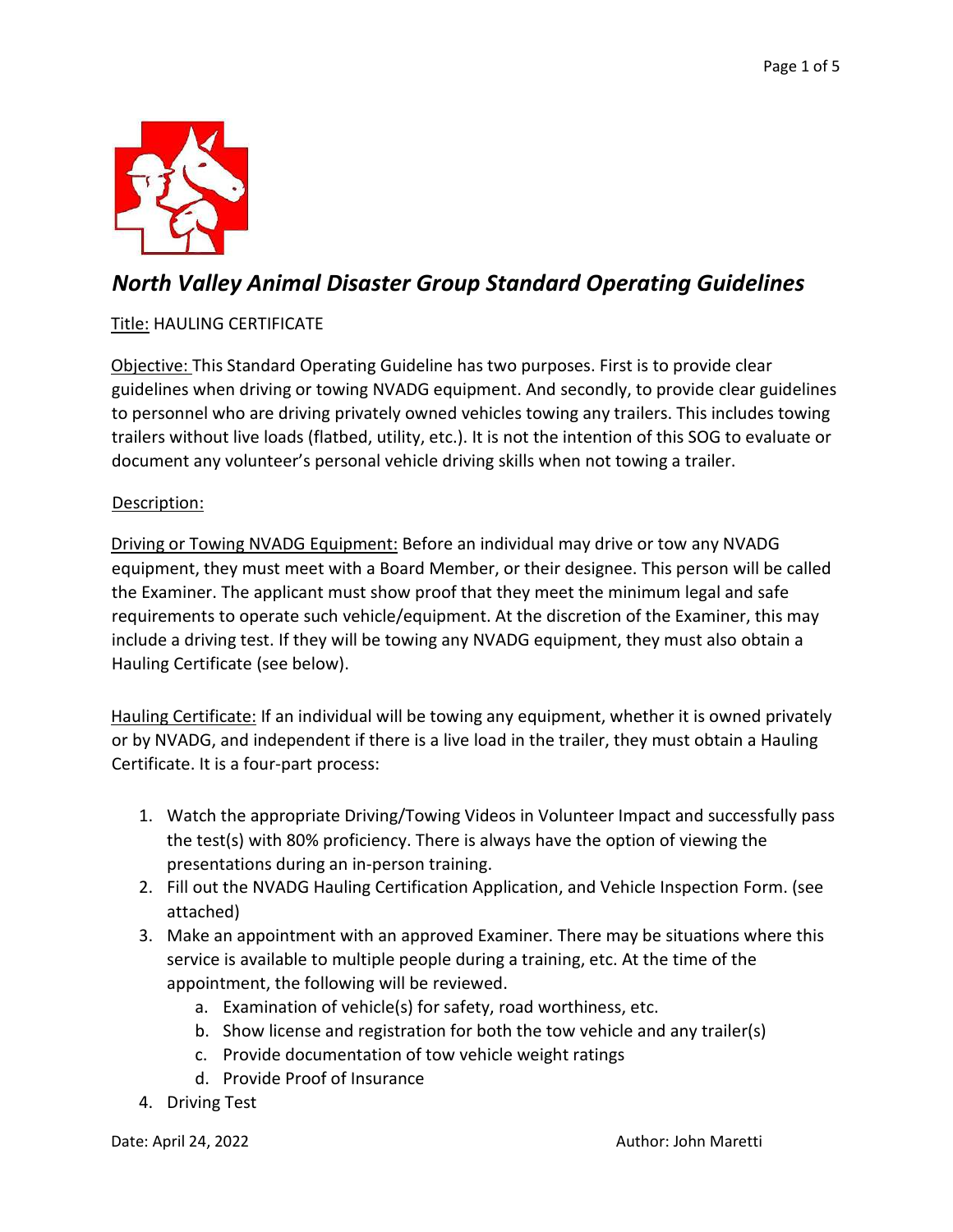

### *North Valley Animal Disaster Group Standard Operating Guidelines*

### Title: HAULING CERTIFICATE

Objective: This Standard Operating Guideline has two purposes. First is to provide clear guidelines when driving or towing NVADG equipment. And secondly, to provide clear guidelines to personnel who are driving privately owned vehicles towing any trailers. This includes towing trailers without live loads (flatbed, utility, etc.). It is not the intention of this SOG to evaluate or document any volunteer's personal vehicle driving skills when not towing a trailer.

#### Description:

Driving or Towing NVADG Equipment: Before an individual may drive or tow any NVADG equipment, they must meet with a Board Member, or their designee. This person will be called the Examiner. The applicant must show proof that they meet the minimum legal and safe requirements to operate such vehicle/equipment. At the discretion of the Examiner, this may include a driving test. If they will be towing any NVADG equipment, they must also obtain a Hauling Certificate (see below).

Hauling Certificate: If an individual will be towing any equipment, whether it is owned privately or by NVADG, and independent if there is a live load in the trailer, they must obtain a Hauling Certificate. It is a four-part process:

- 1. Watch the appropriate Driving/Towing Videos in Volunteer Impact and successfully pass the test(s) with 80% proficiency. There is always have the option of viewing the presentations during an in-person training.
- 2. Fill out the NVADG Hauling Certification Application, and Vehicle Inspection Form. (see attached)
- 3. Make an appointment with an approved Examiner. There may be situations where this service is available to multiple people during a training, etc. At the time of the appointment, the following will be reviewed.
	- a. Examination of vehicle(s) for safety, road worthiness, etc.
	- b. Show license and registration for both the tow vehicle and any trailer(s)
	- c. Provide documentation of tow vehicle weight ratings
	- d. Provide Proof of Insurance
- 4. Driving Test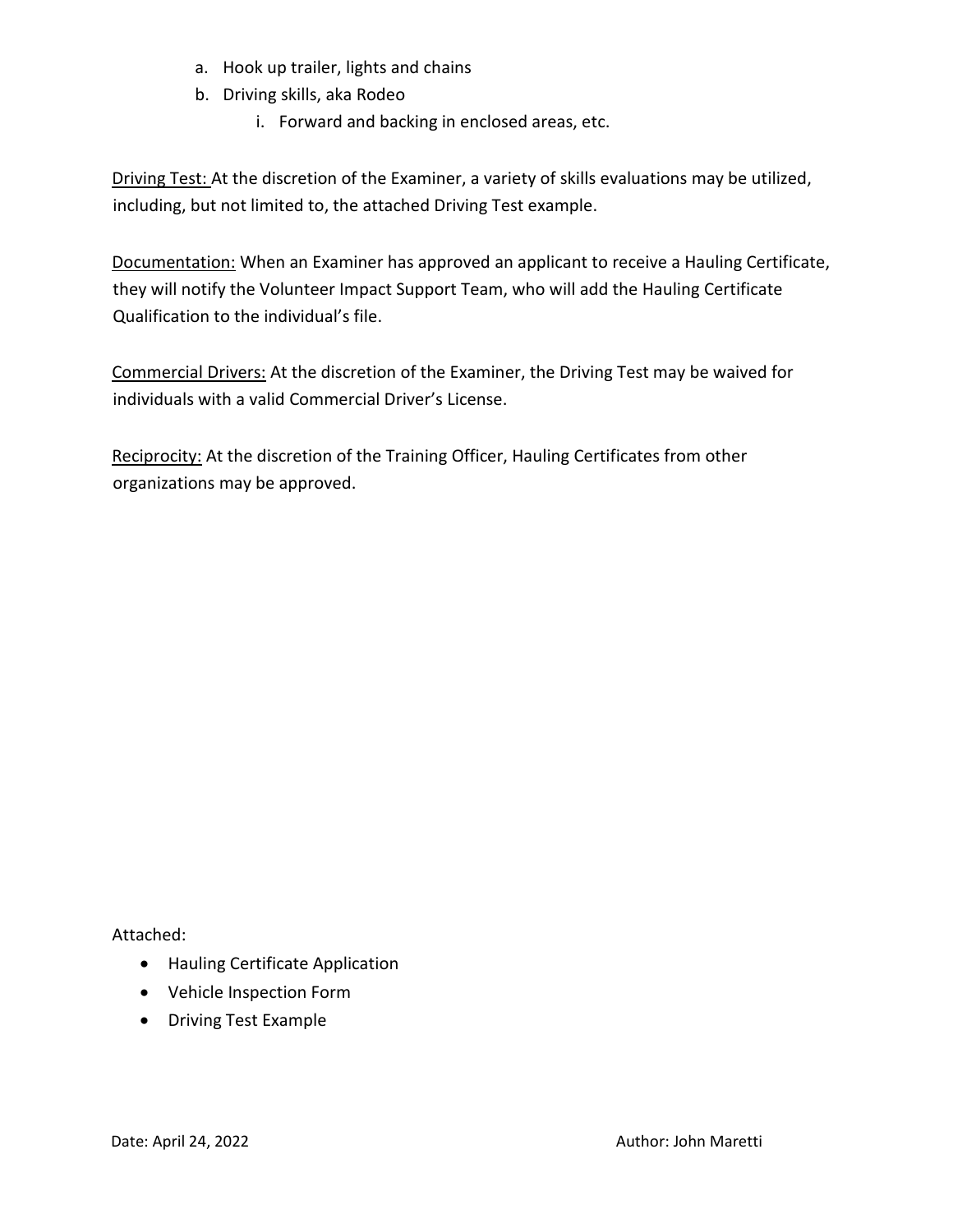- a. Hook up trailer, lights and chains
- b. Driving skills, aka Rodeo
	- i. Forward and backing in enclosed areas, etc.

Driving Test: At the discretion of the Examiner, a variety of skills evaluations may be utilized, including, but not limited to, the attached Driving Test example.

Documentation: When an Examiner has approved an applicant to receive a Hauling Certificate, they will notify the Volunteer Impact Support Team, who will add the Hauling Certificate Qualification to the individual's file.

Commercial Drivers: At the discretion of the Examiner, the Driving Test may be waived for individuals with a valid Commercial Driver's License.

Reciprocity: At the discretion of the Training Officer, Hauling Certificates from other organizations may be approved.

Attached:

- Hauling Certificate Application
- Vehicle Inspection Form
- Driving Test Example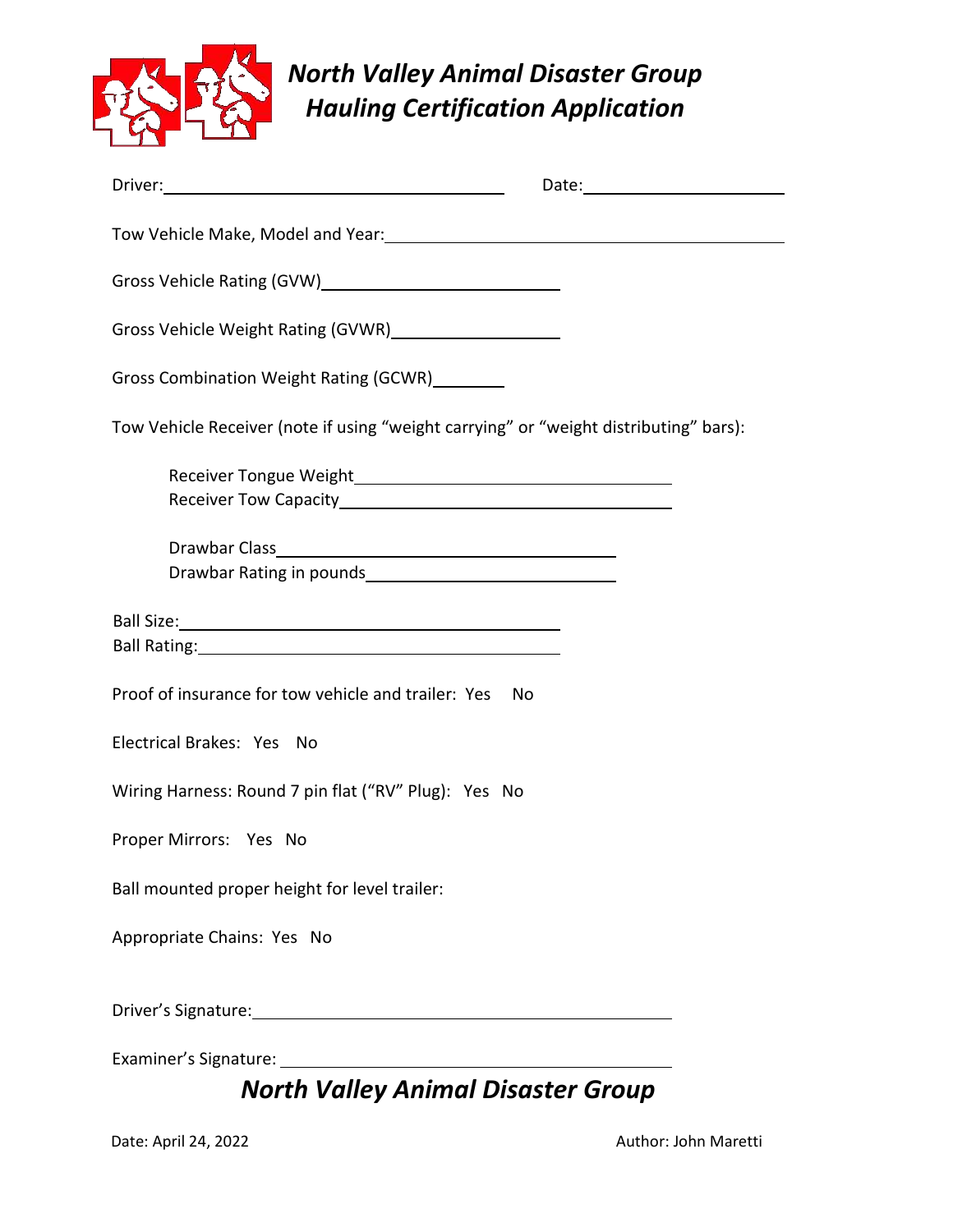

# *North Valley Animal Disaster Group Hauling Certification Application*

| Driver: <u>Diversity of the Community of the Community of the Community of the Community of the Community of the Community of the Community of the Community of the Community of the Community of the Community of the Community</u> | Date: National Contract of the Contract of the Contract of the Contract of the Contract of the Contract of the |  |  |  |
|--------------------------------------------------------------------------------------------------------------------------------------------------------------------------------------------------------------------------------------|----------------------------------------------------------------------------------------------------------------|--|--|--|
|                                                                                                                                                                                                                                      |                                                                                                                |  |  |  |
| Gross Vehicle Rating (GVW)<br><u>Candre Communication</u>                                                                                                                                                                            |                                                                                                                |  |  |  |
| Gross Vehicle Weight Rating (GVWR) Cross Vehicle Weight Rating (GVWR)                                                                                                                                                                |                                                                                                                |  |  |  |
| Gross Combination Weight Rating (GCWR) ________                                                                                                                                                                                      |                                                                                                                |  |  |  |
| Tow Vehicle Receiver (note if using "weight carrying" or "weight distributing" bars):                                                                                                                                                |                                                                                                                |  |  |  |
|                                                                                                                                                                                                                                      |                                                                                                                |  |  |  |
|                                                                                                                                                                                                                                      |                                                                                                                |  |  |  |
|                                                                                                                                                                                                                                      |                                                                                                                |  |  |  |
| Ball Rating: <u>Cambridge Communication</u>                                                                                                                                                                                          |                                                                                                                |  |  |  |
| Proof of insurance for tow vehicle and trailer: Yes<br>No                                                                                                                                                                            |                                                                                                                |  |  |  |
| Electrical Brakes: Yes No                                                                                                                                                                                                            |                                                                                                                |  |  |  |
| Wiring Harness: Round 7 pin flat ("RV" Plug): Yes No                                                                                                                                                                                 |                                                                                                                |  |  |  |
| Proper Mirrors: Yes No                                                                                                                                                                                                               |                                                                                                                |  |  |  |
| Ball mounted proper height for level trailer:                                                                                                                                                                                        |                                                                                                                |  |  |  |
| Appropriate Chains: Yes No                                                                                                                                                                                                           |                                                                                                                |  |  |  |
|                                                                                                                                                                                                                                      |                                                                                                                |  |  |  |
|                                                                                                                                                                                                                                      |                                                                                                                |  |  |  |

## *North Valley Animal Disaster Group*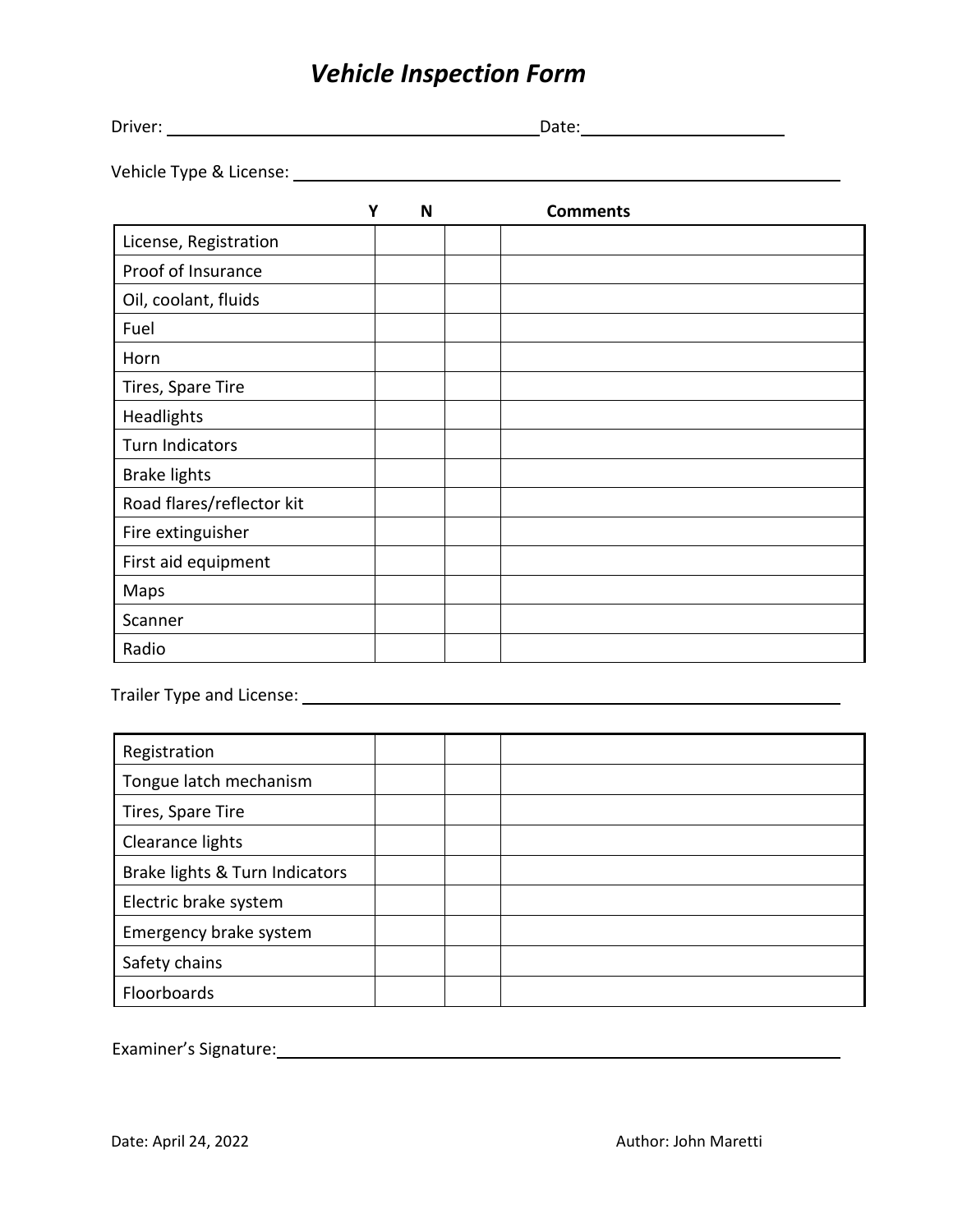# *Vehicle Inspection Form*

| Driver: | - 1 -<br>,,,,,,<br>--- |
|---------|------------------------|
|         |                        |

Vehicle Type & License:

|                           | Y | N | <b>Comments</b> |
|---------------------------|---|---|-----------------|
| License, Registration     |   |   |                 |
| Proof of Insurance        |   |   |                 |
| Oil, coolant, fluids      |   |   |                 |
| Fuel                      |   |   |                 |
| Horn                      |   |   |                 |
| Tires, Spare Tire         |   |   |                 |
| Headlights                |   |   |                 |
| <b>Turn Indicators</b>    |   |   |                 |
| <b>Brake lights</b>       |   |   |                 |
| Road flares/reflector kit |   |   |                 |
| Fire extinguisher         |   |   |                 |
| First aid equipment       |   |   |                 |
| Maps                      |   |   |                 |
| Scanner                   |   |   |                 |
| Radio                     |   |   |                 |

Trailer Type and License: <u>Communications</u> of the contract of the contract of the contract of the contract of the contract of the contract of the contract of the contract of the contract of the contract of the contract of

| Registration                   |  |  |
|--------------------------------|--|--|
| Tongue latch mechanism         |  |  |
| Tires, Spare Tire              |  |  |
| Clearance lights               |  |  |
| Brake lights & Turn Indicators |  |  |
| Electric brake system          |  |  |
| Emergency brake system         |  |  |
| Safety chains                  |  |  |
| Floorboards                    |  |  |

Examiner's Signature: